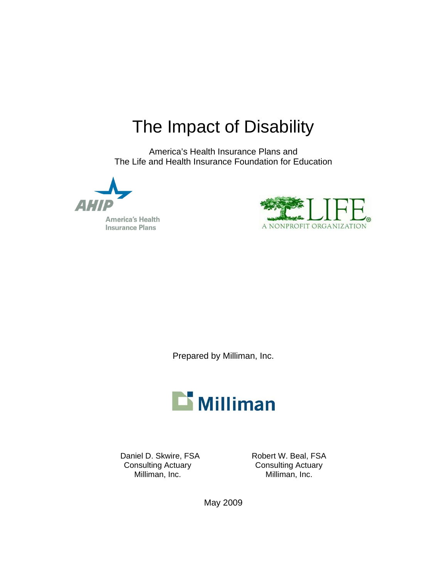# The Impact of Disability

America's Health Insurance Plans and The Life and Health Insurance Foundation for Education

**America's Health Insurance Plans** 



Prepared by Milliman, Inc.



Daniel D. Skwire, FSA Robert W. Beal, FSA Consulting Actuary Consulting Actuary Milliman, Inc. 6. 2010 Milliman, Inc.

May 2009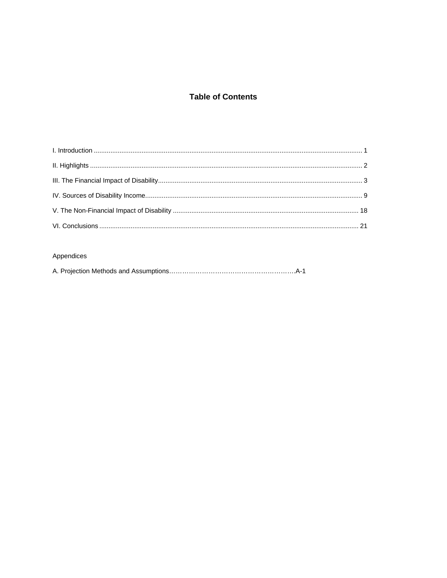# **Table of Contents**

# Appendices

|--|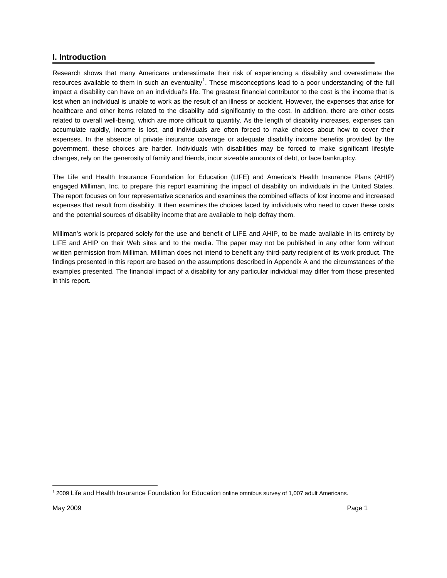# <span id="page-2-1"></span><span id="page-2-0"></span>**I. Introduction**

Research shows that many Americans underestimate their risk of experiencing a disability and overestimate the resources available to them in such an eventuality<sup>[1](#page-2-2)</sup>. These misconceptions lead to a poor understanding of the full impact a disability can have on an individual's life. The greatest financial contributor to the cost is the income that is lost when an individual is unable to work as the result of an illness or accident. However, the expenses that arise for healthcare and other items related to the disability add significantly to the cost. In addition, there are other costs related to overall well-being, which are more difficult to quantify. As the length of disability increases, expenses can accumulate rapidly, income is lost, and individuals are often forced to make choices about how to cover their expenses. In the absence of private insurance coverage or adequate disability income benefits provided by the government, these choices are harder. Individuals with disabilities may be forced to make significant lifestyle changes, rely on the generosity of family and friends, incur sizeable amounts of debt, or face bankruptcy.

The Life and Health Insurance Foundation for Education (LIFE) and America's Health Insurance Plans (AHIP) engaged Milliman, Inc. to prepare this report examining the impact of disability on individuals in the United States. The report focuses on four representative scenarios and examines the combined effects of lost income and increased expenses that result from disability. It then examines the choices faced by individuals who need to cover these costs and the potential sources of disability income that are available to help defray them.

Milliman's work is prepared solely for the use and benefit of LIFE and AHIP, to be made available in its entirety by LIFE and AHIP on their Web sites and to the media. The paper may not be published in any other form without written permission from Milliman. Milliman does not intend to benefit any third-party recipient of its work product. The findings presented in this report are based on the assumptions described in Appendix A and the circumstances of the examples presented. The financial impact of a disability for any particular individual may differ from those presented in this report.

<span id="page-2-2"></span> $\overline{a}$ 1 2009 Life and Health Insurance Foundation for Education online omnibus survey of 1,007 adult Americans.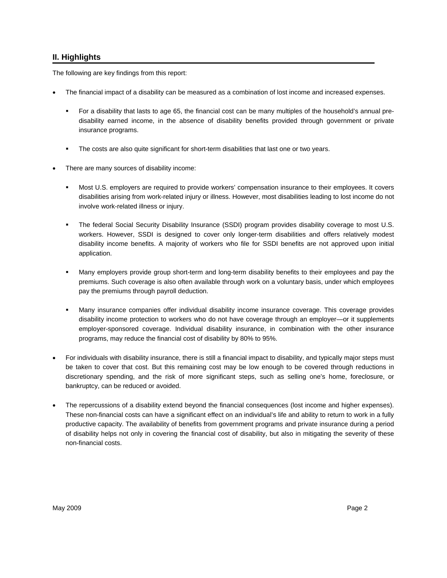# <span id="page-3-1"></span><span id="page-3-0"></span>**II. Highlights**

The following are key findings from this report:

- The financial impact of a disability can be measured as a combination of lost income and increased expenses.
	- For a disability that lasts to age 65, the financial cost can be many multiples of the household's annual predisability earned income, in the absence of disability benefits provided through government or private insurance programs.
	- The costs are also quite significant for short-term disabilities that last one or two years.
- There are many sources of disability income:
	- Most U.S. employers are required to provide workers' compensation insurance to their employees. It covers disabilities arising from work-related injury or illness. However, most disabilities leading to lost income do not involve work-related illness or injury.
	- The federal Social Security Disability Insurance (SSDI) program provides disability coverage to most U.S. workers. However, SSDI is designed to cover only longer-term disabilities and offers relatively modest disability income benefits. A majority of workers who file for SSDI benefits are not approved upon initial application.
	- Many employers provide group short-term and long-term disability benefits to their employees and pay the premiums. Such coverage is also often available through work on a voluntary basis, under which employees pay the premiums through payroll deduction.
	- Many insurance companies offer individual disability income insurance coverage. This coverage provides disability income protection to workers who do not have coverage through an employer—or it supplements employer-sponsored coverage. Individual disability insurance, in combination with the other insurance programs, may reduce the financial cost of disability by 80% to 95%.
- For individuals with disability insurance, there is still a financial impact to disability, and typically major steps must be taken to cover that cost. But this remaining cost may be low enough to be covered through reductions in discretionary spending, and the risk of more significant steps, such as selling one's home, foreclosure, or bankruptcy, can be reduced or avoided.
- The repercussions of a disability extend beyond the financial consequences (lost income and higher expenses). These non-financial costs can have a significant effect on an individual's life and ability to return to work in a fully productive capacity. The availability of benefits from government programs and private insurance during a period of disability helps not only in covering the financial cost of disability, but also in mitigating the severity of these non-financial costs.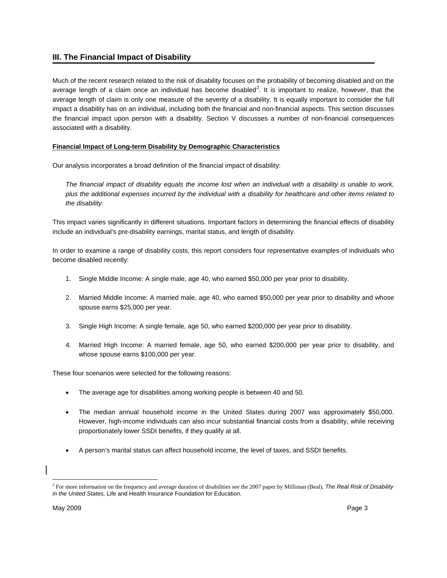# <span id="page-4-0"></span>**III. The Financial Impact of Disability**

Much of the recent research related to the risk of disability focuses on the probability of becoming disabled and on the average length of a claim once an individual has become disabled<sup>[2](#page-4-2)</sup>. It is important to realize, however, that the average length of claim is only one measure of the severity of a disability. It is equally important to consider the full impact a disability has on an individual, including both the financial and non-financial aspects. This section discusses the financial impact upon person with a disability. Section V discusses a number of non-financial consequences associated with a disability.

# **Financial Impact of Long-term Disability by Demographic Characteristics**

Our analysis incorporates a broad definition of the financial impact of disability:

The financial impact of disability equals the income lost when an individual with a disability is unable to work, *plus the additional expenses incurred by the individual with a disability for healthcare and other items related to the disability.* 

This impact varies significantly in different situations. Important factors in determining the financial effects of disability include an individual's pre-disability earnings, marital status, and length of disability.

In order to examine a range of disability costs, this report considers four representative examples of individuals who become disabled recently:

- 1. Single Middle Income: A single male, age 40, who earned \$50,000 per year prior to disability.
- 2. Married Middle Income: A married male, age 40, who earned \$50,000 per year prior to disability and whose spouse earns \$25,000 per year.
- 3. Single High Income: A single female, age 50, who earned \$200,000 per year prior to disability.
- 4. Married High Income: A married female, age 50, who earned \$200,000 per year prior to disability, and whose spouse earns \$100,000 per year.

These four scenarios were selected for the following reasons:

- The average age for disabilities among working people is between 40 and 50.
- The median annual household income in the United States during 2007 was approximately \$50,000. However, high-income individuals can also incur substantial financial costs from a disability, while receiving proportionately lower SSDI benefits, if they qualify at all.
- A person's marital status can affect household income, the level of taxes, and SSDI benefits.

<span id="page-4-2"></span><span id="page-4-1"></span> $\overline{a}$ 2 For more information on the frequency and average duration of disabilities see the 2007 paper by Milliman (Beal), *The Real Risk of Disability in the United States,* Life and Health Insurance Foundation for Education.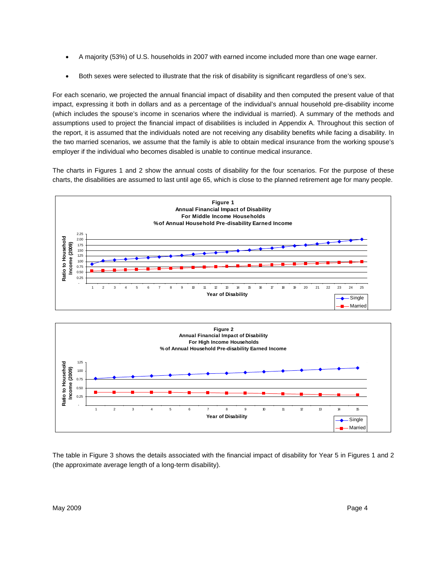- A majority (53%) of U.S. households in 2007 with earned income included more than one wage earner.
- Both sexes were selected to illustrate that the risk of disability is significant regardless of one's sex.

For each scenario, we projected the annual financial impact of disability and then computed the present value of that impact, expressing it both in dollars and as a percentage of the individual's annual household pre-disability income (which includes the spouse's income in scenarios where the individual is married). A summary of the methods and assumptions used to project the financial impact of disabilities is included in Appendix A. Throughout this section of the report, it is assumed that the individuals noted are not receiving any disability benefits while facing a disability. In the two married scenarios, we assume that the family is able to obtain medical insurance from the working spouse's employer if the individual who becomes disabled is unable to continue medical insurance.

The charts in Figures 1 and 2 show the annual costs of disability for the four scenarios. For the purpose of these charts, the disabilities are assumed to last until age 65, which is close to the planned retirement age for many people.





The table in Figure 3 shows the details associated with the financial impact of disability for Year 5 in Figures 1 and 2 (the approximate average length of a long-term disability).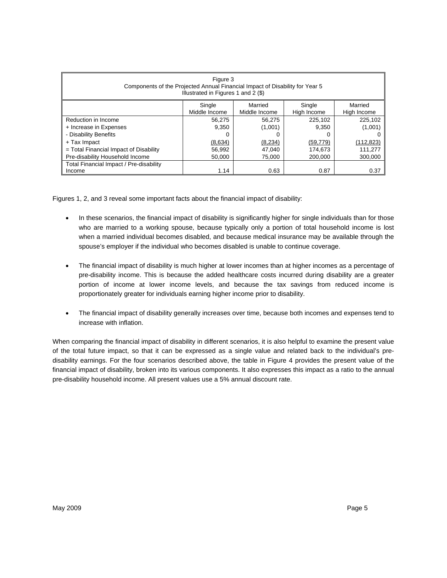| Figure 3<br>Components of the Projected Annual Financial Impact of Disability for Year 5<br>Illustrated in Figures 1 and 2 (\$) |               |               |             |             |  |  |
|---------------------------------------------------------------------------------------------------------------------------------|---------------|---------------|-------------|-------------|--|--|
|                                                                                                                                 | Single        | Married       | Single      | Married     |  |  |
|                                                                                                                                 | Middle Income | Middle Income | High Income | High Income |  |  |
| Reduction in Income                                                                                                             | 56.275        | 56,275        | 225,102     | 225,102     |  |  |
| + Increase in Expenses                                                                                                          | 9.350         | (1,001)       | 9.350       | (1,001)     |  |  |
| - Disability Benefits                                                                                                           | Ω             |               |             |             |  |  |
| $+$ Tax Impact<br>(8, 234)<br>(8,634)<br>(59, 779)<br>(112, 823)                                                                |               |               |             |             |  |  |
| $=$ Total Financial Impact of Disability<br>111.277<br>56.992<br>47.040<br>174,673                                              |               |               |             |             |  |  |
| Pre-disability Household Income<br>300.000<br>50.000<br>75.000<br>200.000                                                       |               |               |             |             |  |  |
| Total Financial Impact / Pre-disability                                                                                         |               |               |             |             |  |  |
| Income                                                                                                                          | 1.14          | 0.63          | 0.87        | 0.37        |  |  |

Figures 1, 2, and 3 reveal some important facts about the financial impact of disability:

- In these scenarios, the financial impact of disability is significantly higher for single individuals than for those who are married to a working spouse, because typically only a portion of total household income is lost when a married individual becomes disabled, and because medical insurance may be available through the spouse's employer if the individual who becomes disabled is unable to continue coverage.
- The financial impact of disability is much higher at lower incomes than at higher incomes as a percentage of pre-disability income. This is because the added healthcare costs incurred during disability are a greater portion of income at lower income levels, and because the tax savings from reduced income is proportionately greater for individuals earning higher income prior to disability.
- The financial impact of disability generally increases over time, because both incomes and expenses tend to increase with inflation.

When comparing the financial impact of disability in different scenarios, it is also helpful to examine the present value of the total future impact, so that it can be expressed as a single value and related back to the individual's predisability earnings. For the four scenarios described above, the table in Figure 4 provides the present value of the financial impact of disability, broken into its various components. It also expresses this impact as a ratio to the annual pre-disability household income. All present values use a 5% annual discount rate.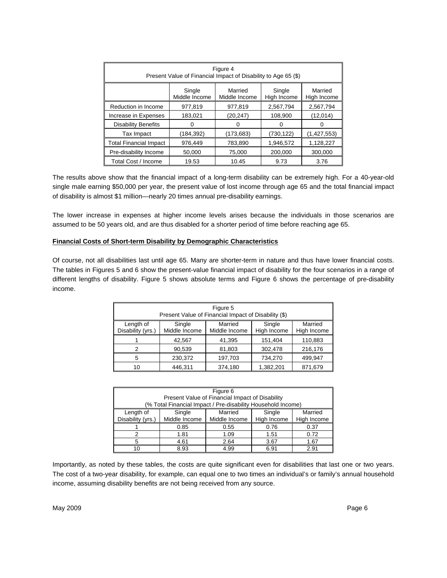| Figure 4<br>Present Value of Financial Impact of Disability to Age 65 (\$)                             |           |            |           |              |  |
|--------------------------------------------------------------------------------------------------------|-----------|------------|-----------|--------------|--|
| Single<br>Single<br>Married<br>Married<br>Middle Income<br>High Income<br>Middle Income<br>High Income |           |            |           |              |  |
| Reduction in Income                                                                                    | 977.819   | 977.819    | 2,567,794 | 2,567,794    |  |
| Increase in Expenses                                                                                   | 183,021   | (20, 247)  | 108.900   | (12,014)     |  |
| <b>Disability Benefits</b>                                                                             | 0         |            | Ω         | $\mathbf{0}$ |  |
| Tax Impact                                                                                             | (184,392) | (173, 683) | (730,122) | (1,427,553)  |  |
| <b>Total Financial Impact</b>                                                                          | 976.449   | 783,890    | 1,946,572 | 1,128,227    |  |
| Pre-disability Income                                                                                  | 50,000    | 75,000     | 200,000   | 300,000      |  |
| Total Cost / Income                                                                                    | 19.53     | 10.45      | 9.73      | 3.76         |  |

The results above show that the financial impact of a long-term disability can be extremely high. For a 40-year-old single male earning \$50,000 per year, the present value of lost income through age 65 and the total financial impact of disability is almost \$1 million—nearly 20 times annual pre-disability earnings.

The lower increase in expenses at higher income levels arises because the individuals in those scenarios are assumed to be 50 years old, and are thus disabled for a shorter period of time before reaching age 65.

#### **Financial Costs of Short-term Disability by Demographic Characteristics**

Of course, not all disabilities last until age 65. Many are shorter-term in nature and thus have lower financial costs. The tables in Figures 5 and 6 show the present-value financial impact of disability for the four scenarios in a range of different lengths of disability. Figure 5 shows absolute terms and Figure 6 shows the percentage of pre-disability income.

| Figure 5<br>Present Value of Financial Impact of Disability (\$) |                         |                          |                       |                        |  |
|------------------------------------------------------------------|-------------------------|--------------------------|-----------------------|------------------------|--|
| Length of<br>Disability (yrs.)                                   | Single<br>Middle Income | Married<br>Middle Income | Single<br>High Income | Married<br>High Income |  |
|                                                                  | 42,567                  | 41,395                   | 151,404               | 110,883                |  |
| 2                                                                | 90,539                  | 81,803                   | 302,478               | 216,176                |  |
| 5                                                                | 230,372                 | 197,703                  | 734,270               | 499,947                |  |
| 10                                                               | 446,311                 | 374,180                  | 1,382,201             | 871,679                |  |

|                   | Figure 6                                                     |                                                 |             |             |  |  |  |
|-------------------|--------------------------------------------------------------|-------------------------------------------------|-------------|-------------|--|--|--|
|                   |                                                              | Present Value of Financial Impact of Disability |             |             |  |  |  |
|                   | (% Total Financial Impact / Pre-disability Household Income) |                                                 |             |             |  |  |  |
| Length of         | Single                                                       | Married                                         | Single      | Married     |  |  |  |
| Disability (yrs.) | Middle Income                                                | Middle Income                                   | High Income | High Income |  |  |  |
|                   | 0.85                                                         | 0.55                                            | 0.76        | 0.37        |  |  |  |
| 2                 | 1.81                                                         | 1.09                                            | 1.51        | 0.72        |  |  |  |
| 5                 | 4.61                                                         | 2.64                                            | 3.67        | 1.67        |  |  |  |
| 10                | 8.93                                                         | 4.99                                            | 6.91        | 2.91        |  |  |  |

Importantly, as noted by these tables, the costs are quite significant even for disabilities that last one or two years. The cost of a two-year disability, for example, can equal one to two times an individual's or family's annual household income, assuming disability benefits are not being received from any source.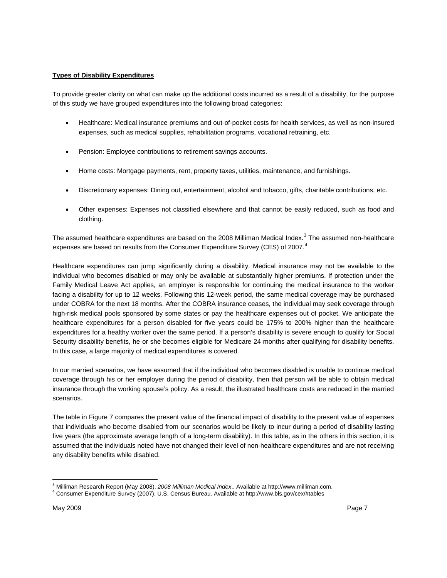#### **Types of Disability Expenditures**

To provide greater clarity on what can make up the additional costs incurred as a result of a disability, for the purpose of this study we have grouped expenditures into the following broad categories:

- Healthcare: Medical insurance premiums and out-of-pocket costs for health services, as well as non-insured expenses, such as medical supplies, rehabilitation programs, vocational retraining, etc.
- Pension: Employee contributions to retirement savings accounts.
- Home costs: Mortgage payments, rent, property taxes, utilities, maintenance, and furnishings.
- Discretionary expenses: Dining out, entertainment, alcohol and tobacco, gifts, charitable contributions, etc.
- Other expenses: Expenses not classified elsewhere and that cannot be easily reduced, such as food and clothing.

The assumed healthcare expenditures are based on the 2008 Milliman Medical Index.<sup>[3](#page-8-0)</sup> The assumed non-healthcare expenses are based on results from the Consumer Expenditure Survey (CES) of 2007.<sup>[4](#page-8-1)</sup>

Healthcare expenditures can jump significantly during a disability. Medical insurance may not be available to the individual who becomes disabled or may only be available at substantially higher premiums. If protection under the Family Medical Leave Act applies, an employer is responsible for continuing the medical insurance to the worker facing a disability for up to 12 weeks. Following this 12-week period, the same medical coverage may be purchased under COBRA for the next 18 months. After the COBRA insurance ceases, the individual may seek coverage through high-risk medical pools sponsored by some states or pay the healthcare expenses out of pocket. We anticipate the healthcare expenditures for a person disabled for five years could be 175% to 200% higher than the healthcare expenditures for a healthy worker over the same period. If a person's disability is severe enough to qualify for Social Security disability benefits, he or she becomes eligible for Medicare 24 months after qualifying for disability benefits. In this case, a large majority of medical expenditures is covered.

In our married scenarios, we have assumed that if the individual who becomes disabled is unable to continue medical coverage through his or her employer during the period of disability, then that person will be able to obtain medical insurance through the working spouse's policy. As a result, the illustrated healthcare costs are reduced in the married scenarios.

The table in Figure 7 compares the present value of the financial impact of disability to the present value of expenses that individuals who become disabled from our scenarios would be likely to incur during a period of disability lasting five years (the approximate average length of a long-term disability). In this table, as in the others in this section, it is assumed that the individuals noted have not changed their level of non-healthcare expenditures and are not receiving any disability benefits while disabled.

<sup>&</sup>lt;sup>3</sup> Milliman Research Report (May 2008). *2008 Milliman Medical Index*., Available at http://www.milliman.com.<br><sup>4</sup> Censumer Expenditure Suntex (2007). LLS. Censue Bureau, Available at http://www.ble.gov/gov/#tables.

<span id="page-8-1"></span><span id="page-8-0"></span>Consumer Expenditure Survey (2007). U.S. Census Bureau. Available at http://www.bls.gov/cex/#tables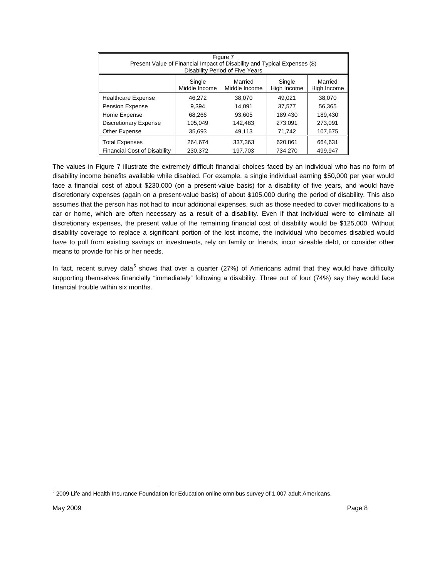| Figure 7<br>Present Value of Financial Impact of Disability and Typical Expenses (\$)<br>Disability Period of Five Years |         |         |                    |  |  |
|--------------------------------------------------------------------------------------------------------------------------|---------|---------|--------------------|--|--|
| Married<br>Married<br>Single<br>Single<br>Middle Income<br>High Income<br>Middle Income<br>High Income                   |         |         |                    |  |  |
| 46.272                                                                                                                   | 38,070  | 49.021  | 38,070             |  |  |
| 9.394                                                                                                                    | 14.091  | 37,577  | 56,365             |  |  |
| 68,266                                                                                                                   | 93.605  | 189,430 | 189,430            |  |  |
| 105,049                                                                                                                  | 142,483 | 273,091 | 273,091            |  |  |
| 35,693                                                                                                                   | 49,113  | 71,742  | 107,675            |  |  |
| 264,674                                                                                                                  | 337,363 | 620,861 | 664,631<br>499.947 |  |  |
|                                                                                                                          | 230.372 | 197.703 | 734.270            |  |  |

The values in Figure 7 illustrate the extremely difficult financial choices faced by an individual who has no form of disability income benefits available while disabled. For example, a single individual earning \$50,000 per year would face a financial cost of about \$230,000 (on a present-value basis) for a disability of five years, and would have discretionary expenses (again on a present-value basis) of about \$105,000 during the period of disability. This also assumes that the person has not had to incur additional expenses, such as those needed to cover modifications to a car or home, which are often necessary as a result of a disability. Even if that individual were to eliminate all discretionary expenses, the present value of the remaining financial cost of disability would be \$125,000. Without disability coverage to replace a significant portion of the lost income, the individual who becomes disabled would have to pull from existing savings or investments, rely on family or friends, incur sizeable debt, or consider other means to provide for his or her needs.

In fact, recent survey data<sup>[5](#page-9-0)</sup> shows that over a quarter (27%) of Americans admit that they would have difficulty supporting themselves financially "immediately" following a disability. Three out of four (74%) say they would face financial trouble within six months.

<span id="page-9-0"></span> 5 2009 Life and Health Insurance Foundation for Education online omnibus survey of 1,007 adult Americans.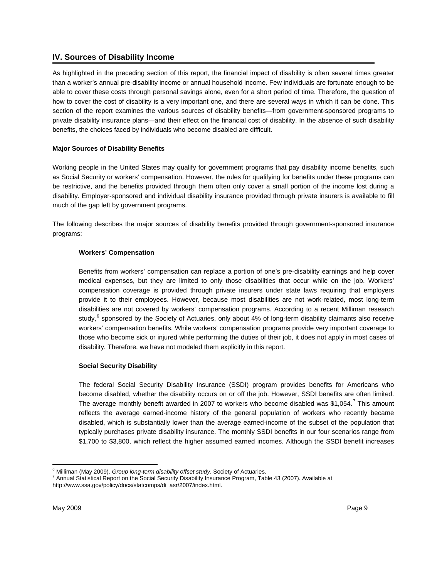# <span id="page-10-0"></span>**IV. Sources of Disability Income**

As highlighted in the preceding section of this report, the financial impact of disability is often several times greater than a worker's annual pre-disability income or annual household income. Few individuals are fortunate enough to be able to cover these costs through personal savings alone, even for a short period of time. Therefore, the question of how to cover the cost of disability is a very important one, and there are several ways in which it can be done. This section of the report examines the various sources of disability benefits—from government-sponsored programs to private disability insurance plans—and their effect on the financial cost of disability. In the absence of such disability benefits, the choices faced by individuals who become disabled are difficult.

# **Major Sources of Disability Benefits**

Working people in the United States may qualify for government programs that pay disability income benefits, such as Social Security or workers' compensation. However, the rules for qualifying for benefits under these programs can be restrictive, and the benefits provided through them often only cover a small portion of the income lost during a disability. Employer-sponsored and individual disability insurance provided through private insurers is available to fill much of the gap left by government programs.

The following describes the major sources of disability benefits provided through government-sponsored insurance programs:

# **Workers' Compensation**

<span id="page-10-1"></span>Benefits from workers' compensation can replace a portion of one's pre-disability earnings and help cover medical expenses, but they are limited to only those disabilities that occur while on the job. Workers' compensation coverage is provided through private insurers under state laws requiring that employers provide it to their employees. However, because most disabilities are not work-related, most long-term disabilities are not covered by workers' compensation programs. According to a recent Milliman research study,<sup>[6](#page-10-2)</sup> sponsored by the Society of Actuaries, only about 4% of long-term disability claimants also receive workers' compensation benefits. While workers' compensation programs provide very important coverage to those who become sick or injured while performing the duties of their job, it does not apply in most cases of disability. Therefore, we have not modeled them explicitly in this report.

# **Social Security Disability**

The federal Social Security Disability Insurance (SSDI) program provides benefits for Americans who become disabled, whether the disability occurs on or off the job. However, SSDI benefits are often limited. The average monthly benefit awarded in 200[7](#page-10-3) to workers who become disabled was \$1,054.<sup>7</sup> This amount reflects the average earned-income history of the general population of workers who recently became disabled, which is substantially lower than the average earned-income of the subset of the population that typically purchases private disability insurance. The monthly SSDI benefits in our four scenarios range from \$1,700 to \$3,800, which reflect the higher assumed earned incomes. Although the SSDI benefit increases

 $\overline{a}$ 

<sup>&</sup>lt;sup>6</sup> Milliman (May 2009). *Group long-term disability offset study*. Society of Actuaries.<br><sup>7</sup> Annual Statistical Report on the Social Sequrity Disability Inqurance Program. Tak

<span id="page-10-3"></span><span id="page-10-2"></span>Annual Statistical Report on the Social Security Disability Insurance Program, Table 43 (2007). Available at http://www.ssa.gov/policy/docs/statcomps/di\_asr/2007/index.html.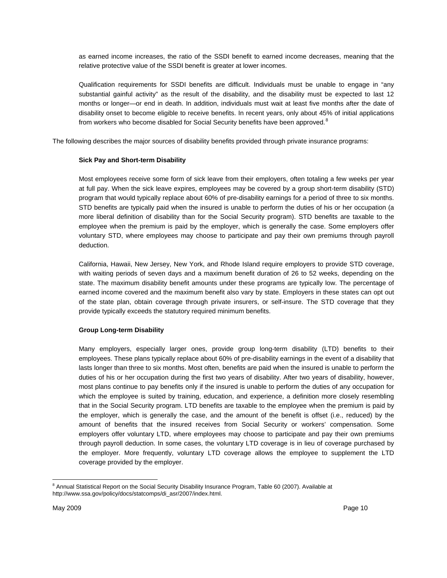as earned income increases, the ratio of the SSDI benefit to earned income decreases, meaning that the relative protective value of the SSDI benefit is greater at lower incomes.

Qualification requirements for SSDI benefits are difficult. Individuals must be unable to engage in "any substantial gainful activity" as the result of the disability, and the disability must be expected to last 12 months or longer—or end in death. In addition, individuals must wait at least five months after the date of disability onset to become eligible to receive benefits. In recent years, only about 45% of initial applications from workers who become disabled for Social Security benefits have been approved.<sup>[8](#page-11-0)</sup>

The following describes the major sources of disability benefits provided through private insurance programs:

#### **Sick Pay and Short-term Disability**

Most employees receive some form of sick leave from their employers, often totaling a few weeks per year at full pay. When the sick leave expires, employees may be covered by a group short-term disability (STD) program that would typically replace about 60% of pre-disability earnings for a period of three to six months. STD benefits are typically paid when the insured is unable to perform the duties of his or her occupation (a more liberal definition of disability than for the Social Security program). STD benefits are taxable to the employee when the premium is paid by the employer, which is generally the case. Some employers offer voluntary STD, where employees may choose to participate and pay their own premiums through payroll deduction.

California, Hawaii, New Jersey, New York, and Rhode Island require employers to provide STD coverage, with waiting periods of seven days and a maximum benefit duration of 26 to 52 weeks, depending on the state. The maximum disability benefit amounts under these programs are typically low. The percentage of earned income covered and the maximum benefit also vary by state. Employers in these states can opt out of the state plan, obtain coverage through private insurers, or self-insure. The STD coverage that they provide typically exceeds the statutory required minimum benefits.

# **Group Long-term Disability**

Many employers, especially larger ones, provide group long-term disability (LTD) benefits to their employees. These plans typically replace about 60% of pre-disability earnings in the event of a disability that lasts longer than three to six months. Most often, benefits are paid when the insured is unable to perform the duties of his or her occupation during the first two years of disability. After two years of disability, however, most plans continue to pay benefits only if the insured is unable to perform the duties of any occupation for which the employee is suited by training, education, and experience, a definition more closely resembling that in the Social Security program. LTD benefits are taxable to the employee when the premium is paid by the employer, which is generally the case, and the amount of the benefit is offset (i.e., reduced) by the amount of benefits that the insured receives from Social Security or workers' compensation. Some employers offer voluntary LTD, where employees may choose to participate and pay their own premiums through payroll deduction. In some cases, the voluntary LTD coverage is in lieu of coverage purchased by the employer. More frequently, voluntary LTD coverage allows the employee to supplement the LTD coverage provided by the employer.

<span id="page-11-0"></span> $\overline{a}$ <sup>8</sup> Annual Statistical Report on the Social Security Disability Insurance Program, Table 60 (2007). Available at http://www.ssa.gov/policy/docs/statcomps/di\_asr/2007/index.html.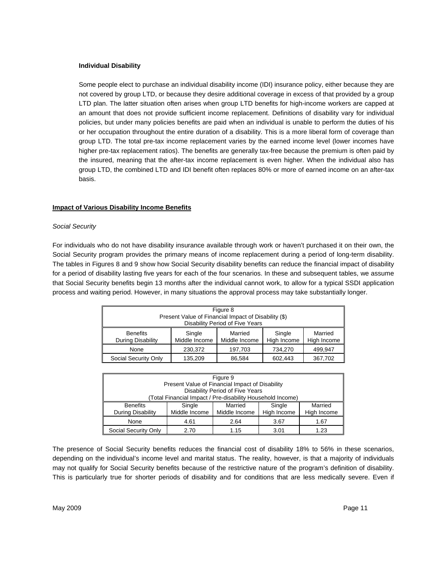#### **Individual Disability**

Some people elect to purchase an individual disability income (IDI) insurance policy, either because they are not covered by group LTD, or because they desire additional coverage in excess of that provided by a group LTD plan. The latter situation often arises when group LTD benefits for high-income workers are capped at an amount that does not provide sufficient income replacement. Definitions of disability vary for individual policies, but under many policies benefits are paid when an individual is unable to perform the duties of his or her occupation throughout the entire duration of a disability. This is a more liberal form of coverage than group LTD. The total pre-tax income replacement varies by the earned income level (lower incomes have higher pre-tax replacement ratios). The benefits are generally tax-free because the premium is often paid by the insured, meaning that the after-tax income replacement is even higher. When the individual also has group LTD, the combined LTD and IDI benefit often replaces 80% or more of earned income on an after-tax basis.

#### **Impact of Various Disability Income Benefits**

#### *Social Security*

For individuals who do not have disability insurance available through work or haven't purchased it on their own, the Social Security program provides the primary means of income replacement during a period of long-term disability. The tables in Figures 8 and 9 show how Social Security disability benefits can reduce the financial impact of disability for a period of disability lasting five years for each of the four scenarios. In these and subsequent tables, we assume that Social Security benefits begin 13 months after the individual cannot work, to allow for a typical SSDI application process and waiting period. However, in many situations the approval process may take substantially longer.

| Figure 8<br>Present Value of Financial Impact of Disability (\$)<br>Disability Period of Five Years |                         |                          |                       |                        |
|-----------------------------------------------------------------------------------------------------|-------------------------|--------------------------|-----------------------|------------------------|
| <b>Benefits</b><br>During Disability                                                                | Single<br>Middle Income | Married<br>Middle Income | Single<br>High Income | Married<br>High Income |
| None                                                                                                | 230,372                 | 197,703                  | 734,270               | 499,947                |
| Social Security Only                                                                                | 135,209                 | 86,584                   | 602,443               | 367,702                |

| Figure 9                                                                          |                                                            |                                 |        |         |
|-----------------------------------------------------------------------------------|------------------------------------------------------------|---------------------------------|--------|---------|
|                                                                                   | Present Value of Financial Impact of Disability            |                                 |        |         |
|                                                                                   |                                                            | Disability Period of Five Years |        |         |
|                                                                                   | (Total Financial Impact / Pre-disability Household Income) |                                 |        |         |
| <b>Benefits</b>                                                                   | Single                                                     | Married                         | Single | Married |
| High Income<br>Middle Income<br>During Disability<br>Middle Income<br>High Income |                                                            |                                 |        |         |
| None                                                                              | 4.61                                                       | 2.64                            | 3.67   | 1.67    |
| Social Security Only                                                              | 2.70                                                       | 1.15                            | 3.01   | 1.23    |

The presence of Social Security benefits reduces the financial cost of disability 18% to 56% in these scenarios, depending on the individual's income level and marital status. The reality, however, is that a majority of individuals may not qualify for Social Security benefits because of the restrictive nature of the program's definition of disability. This is particularly true for shorter periods of disability and for conditions that are less medically severe. Even if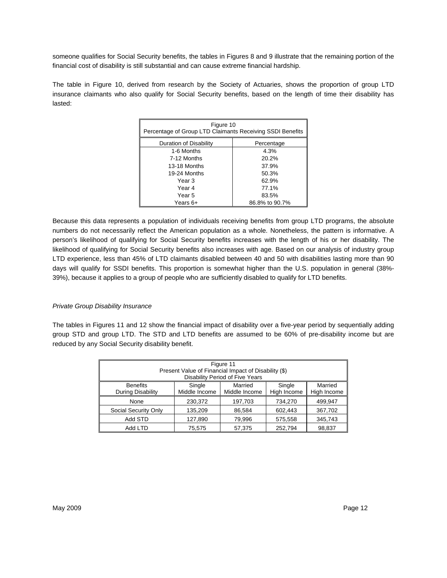someone qualifies for Social Security benefits, the tables in Figures 8 and 9 illustrate that the remaining portion of the financial cost of disability is still substantial and can cause extreme financial hardship.

The table in Figure 10, derived from research by the Society of Actuaries, shows the proportion of group LTD insurance claimants who also qualify for Social Security benefits, based on the length of time their disability has lasted:

| Figure 10<br>Percentage of Group LTD Claimants Receiving SSDI Benefits |                |  |  |  |
|------------------------------------------------------------------------|----------------|--|--|--|
| Duration of Disability                                                 | Percentage     |  |  |  |
| 1-6 Months                                                             | 4.3%           |  |  |  |
| 7-12 Months                                                            | 20.2%          |  |  |  |
| 13-18 Months                                                           | 37.9%          |  |  |  |
| 19-24 Months                                                           | 50.3%          |  |  |  |
| Year 3                                                                 | 62.9%          |  |  |  |
| Year 4                                                                 | 77.1%          |  |  |  |
| Year 5                                                                 | 83.5%          |  |  |  |
| Years 6+                                                               | 86.8% to 90.7% |  |  |  |

Because this data represents a population of individuals receiving benefits from group LTD programs, the absolute numbers do not necessarily reflect the American population as a whole. Nonetheless, the pattern is informative. A person's likelihood of qualifying for Social Security benefits increases with the length of his or her disability. The likelihood of qualifying for Social Security benefits also increases with age. Based on our analysis of industry group LTD experience, less than 45% of LTD claimants disabled between 40 and 50 with disabilities lasting more than 90 days will qualify for SSDI benefits. This proportion is somewhat higher than the U.S. population in general (38%- 39%), because it applies to a group of people who are sufficiently disabled to qualify for LTD benefits.

# *Private Group Disability Insurance*

The tables in Figures 11 and 12 show the financial impact of disability over a five-year period by sequentially adding group STD and group LTD. The STD and LTD benefits are assumed to be 60% of pre-disability income but are reduced by any Social Security disability benefit.

| Figure 11<br>Present Value of Financial Impact of Disability (\$)<br>Disability Period of Five Years |                         |                          |                       |                        |  |
|------------------------------------------------------------------------------------------------------|-------------------------|--------------------------|-----------------------|------------------------|--|
| <b>Benefits</b><br>During Disability                                                                 | Single<br>Middle Income | Married<br>Middle Income | Single<br>High Income | Married<br>High Income |  |
|                                                                                                      |                         |                          |                       |                        |  |
| None                                                                                                 | 230,372                 | 197,703                  | 734,270               | 499,947                |  |
| Social Security Only                                                                                 | 135,209                 | 86.584                   | 602,443               | 367,702                |  |
| Add STD                                                                                              | 127,890                 | 79,996                   | 575,558               | 345,743                |  |
| Add LTD                                                                                              | 75.575                  | 57,375                   | 252.794               | 98,837                 |  |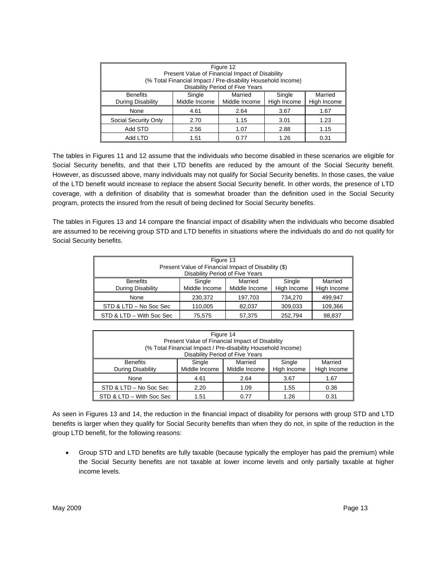| Figure 12<br>Present Value of Financial Impact of Disability<br>(% Total Financial Impact / Pre-disability Household Income)<br>Disability Period of Five Years |      |      |      |      |
|-----------------------------------------------------------------------------------------------------------------------------------------------------------------|------|------|------|------|
| Single<br>Married<br>Single<br>Married<br><b>Benefits</b><br>Middle Income<br>During Disability<br>High Income<br>Middle Income<br>High Income                  |      |      |      |      |
| None                                                                                                                                                            | 4.61 | 2.64 | 3.67 | 1.67 |
| Social Security Only                                                                                                                                            | 2.70 | 1.15 | 3.01 | 1.23 |
| Add STD                                                                                                                                                         | 2.56 | 1.07 | 2.88 | 1.15 |
| Add LTD                                                                                                                                                         | 1.51 | 0.77 | 1.26 | 0.31 |

The tables in Figures 11 and 12 assume that the individuals who become disabled in these scenarios are eligible for Social Security benefits, and that their LTD benefits are reduced by the amount of the Social Security benefit. However, as discussed above, many individuals may not qualify for Social Security benefits. In those cases, the value of the LTD benefit would increase to replace the absent Social Security benefit. In other words, the presence of LTD coverage, with a definition of disability that is somewhat broader than the definition used in the Social Security program, protects the insured from the result of being declined for Social Security benefits.

The tables in Figures 13 and 14 compare the financial impact of disability when the individuals who become disabled are assumed to be receiving group STD and LTD benefits in situations where the individuals do and do not qualify for Social Security benefits.

| Figure 13<br>Present Value of Financial Impact of Disability (\$)<br>Disability Period of Five Years |                                       |                          |                       |                        |  |  |  |
|------------------------------------------------------------------------------------------------------|---------------------------------------|--------------------------|-----------------------|------------------------|--|--|--|
| <b>Benefits</b><br>During Disability                                                                 | Single<br>Middle Income               | Married<br>Middle Income | Single<br>High Income | Married<br>High Income |  |  |  |
| None                                                                                                 | 230,372                               | 197,703                  | 734,270               | 499,947                |  |  |  |
| STD & LTD - No Soc Sec                                                                               | 110,005                               | 82,037                   | 309,033               | 109,366                |  |  |  |
| STD & LTD - With Soc Sec                                                                             | 252,794<br>98,837<br>75,575<br>57,375 |                          |                       |                        |  |  |  |

| Figure 14<br>Present Value of Financial Impact of Disability<br>(% Total Financial Impact / Pre-disability Household Income)<br>Disability Period of Five Years |                         |                          |                       |                        |
|-----------------------------------------------------------------------------------------------------------------------------------------------------------------|-------------------------|--------------------------|-----------------------|------------------------|
| <b>Benefits</b><br>During Disability                                                                                                                            | Single<br>Middle Income | Married<br>Middle Income | Single<br>High Income | Married<br>High Income |
| None                                                                                                                                                            | 4.61                    | 2.64                     | 3.67                  | 1.67                   |
| STD & LTD - No Soc Sec                                                                                                                                          | 2.20                    | 1.09                     | 1.55                  | 0.36                   |
| STD & LTD - With Soc Sec                                                                                                                                        | 1.51                    | 0.77                     | 1.26                  | 0.31                   |

As seen in Figures 13 and 14, the reduction in the financial impact of disability for persons with group STD and LTD benefits is larger when they qualify for Social Security benefits than when they do not, in spite of the reduction in the group LTD benefit, for the following reasons:

• Group STD and LTD benefits are fully taxable (because typically the employer has paid the premium) while the Social Security benefits are not taxable at lower income levels and only partially taxable at higher income levels.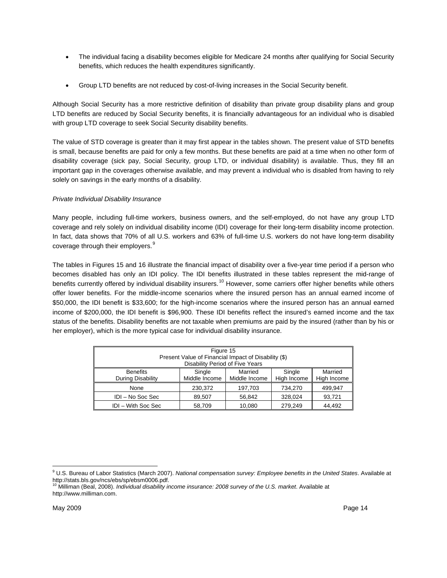- The individual facing a disability becomes eligible for Medicare 24 months after qualifying for Social Security benefits, which reduces the health expenditures significantly.
- Group LTD benefits are not reduced by cost-of-living increases in the Social Security benefit.

Although Social Security has a more restrictive definition of disability than private group disability plans and group LTD benefits are reduced by Social Security benefits, it is financially advantageous for an individual who is disabled with group LTD coverage to seek Social Security disability benefits.

The value of STD coverage is greater than it may first appear in the tables shown. The present value of STD benefits is small, because benefits are paid for only a few months. But these benefits are paid at a time when no other form of disability coverage (sick pay, Social Security, group LTD, or individual disability) is available. Thus, they fill an important gap in the coverages otherwise available, and may prevent a individual who is disabled from having to rely solely on savings in the early months of a disability.

# *Private Individual Disability Insurance*

Many people, including full-time workers, business owners, and the self-employed, do not have any group LTD coverage and rely solely on individual disability income (IDI) coverage for their long-term disability income protection. In fact, data shows that 70% of all U.S. workers and 63% of full-time U.S. workers do not have long-term disability coverage through their employers.<sup>[9](#page-15-0)</sup>

The tables in Figures 15 and 16 illustrate the financial impact of disability over a five-year time period if a person who becomes disabled has only an IDI policy. The IDI benefits illustrated in these tables represent the mid-range of benefits currently offered by individual disability insurers.<sup>10</sup> However, some carriers offer higher benefits while others offer lower benefits. For the middle-income scenarios where the insured person has an annual earned income of \$50,000, the IDI benefit is \$33,600; for the high-income scenarios where the insured person has an annual earned income of \$200,000, the IDI benefit is \$96,900. These IDI benefits reflect the insured's earned income and the tax status of the benefits. Disability benefits are not taxable when premiums are paid by the insured (rather than by his or her employer), which is the more typical case for individual disability insurance.

| Figure 15<br>Present Value of Financial Impact of Disability (\$)<br>Disability Period of Five Years                                           |        |        |         |        |  |  |
|------------------------------------------------------------------------------------------------------------------------------------------------|--------|--------|---------|--------|--|--|
| Married<br>Married<br><b>Benefits</b><br>Single<br>Single<br>Middle Income<br>High Income<br>During Disability<br>Middle Income<br>High Income |        |        |         |        |  |  |
| None<br>230,372<br>734.270<br>499.947<br>197,703                                                                                               |        |        |         |        |  |  |
| IDI - No Soc Sec                                                                                                                               | 89,507 | 56.842 | 328,024 | 93,721 |  |  |
| IDI - With Soc Sec                                                                                                                             | 58,709 | 10,080 | 279,249 | 44.492 |  |  |

 $\overline{a}$ 

<span id="page-15-0"></span><sup>9</sup> U.S. Bureau of Labor Statistics (March 2007). *National compensation survey: Employee benefits in the United States*. Available at http://stats.bls.gov/ncs/ebs/sp/ebsm0006.pdf. 10 Milliman (Beal, 2008). *Individual disability income insurance: 2008 survey of the U.S. market*. Available at

<span id="page-15-1"></span>http://www.milliman.com.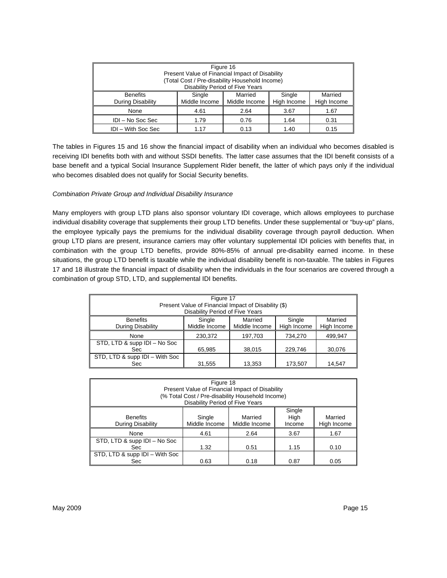| Figure 16<br>Present Value of Financial Impact of Disability<br>(Total Cost / Pre-disability Household Income)<br>Disability Period of Five Years |      |      |      |      |  |
|---------------------------------------------------------------------------------------------------------------------------------------------------|------|------|------|------|--|
| Married<br><b>Benefits</b><br>Single<br>Married<br>Single<br>Middle Income<br>High Income<br>During Disability<br>Middle Income<br>High Income    |      |      |      |      |  |
| None<br>4.61<br>2.64<br>3.67<br>1.67                                                                                                              |      |      |      |      |  |
| IDI - No Soc Sec<br>1.79<br>0.76<br>1.64<br>0.31                                                                                                  |      |      |      |      |  |
| <b>IDI</b> – With Soc Sec                                                                                                                         | 1 17 | 0.13 | 1.40 | 0.15 |  |

The tables in Figures 15 and 16 show the financial impact of disability when an individual who becomes disabled is receiving IDI benefits both with and without SSDI benefits. The latter case assumes that the IDI benefit consists of a base benefit and a typical Social Insurance Supplement Rider benefit, the latter of which pays only if the individual who becomes disabled does not qualify for Social Security benefits.

#### *Combination Private Group and Individual Disability Insurance*

Many employers with group LTD plans also sponsor voluntary IDI coverage, which allows employees to purchase individual disability coverage that supplements their group LTD benefits. Under these supplemental or "buy-up" plans, the employee typically pays the premiums for the individual disability coverage through payroll deduction. When group LTD plans are present, insurance carriers may offer voluntary supplemental IDI policies with benefits that, in combination with the group LTD benefits, provide 80%-85% of annual pre-disability earned income. In these situations, the group LTD benefit is taxable while the individual disability benefit is non-taxable. The tables in Figures 17 and 18 illustrate the financial impact of disability when the individuals in the four scenarios are covered through a combination of group STD, LTD, and supplemental IDI benefits.

| Figure 17<br>Present Value of Financial Impact of Disability (\$)<br>Disability Period of Five Years |                         |                          |                       |                        |  |  |
|------------------------------------------------------------------------------------------------------|-------------------------|--------------------------|-----------------------|------------------------|--|--|
| <b>Benefits</b><br>During Disability                                                                 | Single<br>Middle Income | Married<br>Middle Income | Single<br>High Income | Married<br>High Income |  |  |
| None                                                                                                 | 230,372                 | 197,703                  | 734,270               | 499,947                |  |  |
| STD, LTD & supp IDI - No Soc<br>65,985<br>229,746<br>38,015<br>30,076<br>Sec:                        |                         |                          |                       |                        |  |  |
| STD, LTD & supp IDI - With Soc<br>Sec                                                                | 31,555                  | 13,353                   | 173,507               | 14,547                 |  |  |

| Figure 18<br>Present Value of Financial Impact of Disability<br>(% Total Cost / Pre-disability Household Income)<br>Disability Period of Five Years |                         |                          |                          |                        |  |
|-----------------------------------------------------------------------------------------------------------------------------------------------------|-------------------------|--------------------------|--------------------------|------------------------|--|
| <b>Benefits</b><br>During Disability                                                                                                                | Single<br>Middle Income | Married<br>Middle Income | Single<br>High<br>Income | Married<br>High Income |  |
| None                                                                                                                                                | 4.61                    | 2.64                     | 3.67                     | 1.67                   |  |
| STD, LTD & supp IDI - No Soc<br>1.32<br>1.15<br>0.10<br>Sec.<br>0.51                                                                                |                         |                          |                          |                        |  |
| STD, LTD & supp IDI - With Soc<br>Sec                                                                                                               | 0.63                    | 0.18                     | 0.87                     | 0.05                   |  |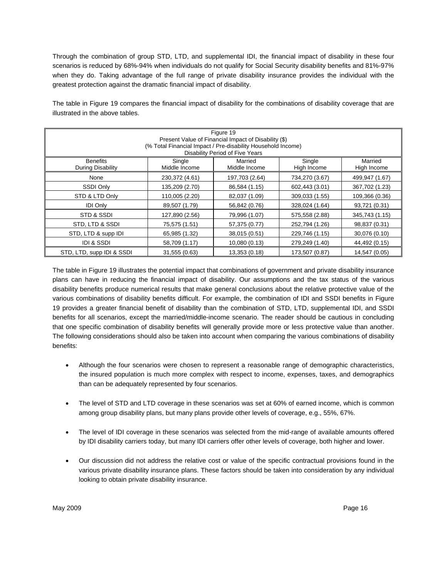Through the combination of group STD, LTD, and supplemental IDI, the financial impact of disability in these four scenarios is reduced by 68%-94% when individuals do not qualify for Social Security disability benefits and 81%-97% when they do. Taking advantage of the full range of private disability insurance provides the individual with the greatest protection against the dramatic financial impact of disability.

The table in Figure 19 compares the financial impact of disability for the combinations of disability coverage that are illustrated in the above tables.

| Figure 19<br>Present Value of Financial Impact of Disability (\$)<br>(% Total Financial Impact / Pre-disability Household Income) |                |                                            |                |                |  |  |
|-----------------------------------------------------------------------------------------------------------------------------------|----------------|--------------------------------------------|----------------|----------------|--|--|
| <b>Benefits</b>                                                                                                                   | Single         | Disability Period of Five Years<br>Married | Single         | Married        |  |  |
| During Disability                                                                                                                 | Middle Income  | Middle Income                              | High Income    | High Income    |  |  |
| None                                                                                                                              | 230,372 (4.61) | 197,703 (2.64)                             | 734,270 (3.67) | 499,947 (1.67) |  |  |
| SSDI Only                                                                                                                         | 135,209 (2.70) | 86,584 (1.15)                              | 602,443 (3.01) | 367,702 (1.23) |  |  |
| STD & LTD Only                                                                                                                    | 110,005 (2.20) | 82,037 (1.09)                              | 309,033 (1.55) | 109,366 (0.36) |  |  |
| <b>IDI Only</b>                                                                                                                   | 89,507 (1.79)  | 56,842 (0.76)                              | 328,024 (1.64) | 93,721 (0.31)  |  |  |
| STD & SSDI                                                                                                                        | 127,890 (2.56) | 79,996 (1.07)                              | 575,558 (2.88) | 345,743 (1.15) |  |  |
| STD, LTD & SSDI                                                                                                                   | 75,575 (1.51)  | 57,375 (0.77)                              | 252,794 (1.26) | 98,837 (0.31)  |  |  |
| STD, LTD & supp IDI                                                                                                               | 65,985 (1.32)  | 38,015 (0.51)                              | 229,746 (1.15) | 30,076 (0.10)  |  |  |
| <b>IDI &amp; SSDI</b>                                                                                                             | 58,709 (1.17)  | 10,080 (0.13)                              | 279,249 (1.40) | 44,492 (0.15)  |  |  |
| STD, LTD, supp IDI & SSDI                                                                                                         | 31,555 (0.63)  | 13,353 (0.18)                              | 173,507 (0.87) | 14,547 (0.05)  |  |  |

The table in Figure 19 illustrates the potential impact that combinations of government and private disability insurance plans can have in reducing the financial impact of disability. Our assumptions and the tax status of the various disability benefits produce numerical results that make general conclusions about the relative protective value of the various combinations of disability benefits difficult. For example, the combination of IDI and SSDI benefits in Figure 19 provides a greater financial benefit of disability than the combination of STD, LTD, supplemental IDI, and SSDI benefits for all scenarios, except the married/middle-income scenario. The reader should be cautious in concluding that one specific combination of disability benefits will generally provide more or less protective value than another. The following considerations should also be taken into account when comparing the various combinations of disability benefits:

- Although the four scenarios were chosen to represent a reasonable range of demographic characteristics, the insured population is much more complex with respect to income, expenses, taxes, and demographics than can be adequately represented by four scenarios.
- The level of STD and LTD coverage in these scenarios was set at 60% of earned income, which is common among group disability plans, but many plans provide other levels of coverage, e.g., 55%, 67%.
- The level of IDI coverage in these scenarios was selected from the mid-range of available amounts offered by IDI disability carriers today, but many IDI carriers offer other levels of coverage, both higher and lower.
- Our discussion did not address the relative cost or value of the specific contractual provisions found in the various private disability insurance plans. These factors should be taken into consideration by any individual looking to obtain private disability insurance.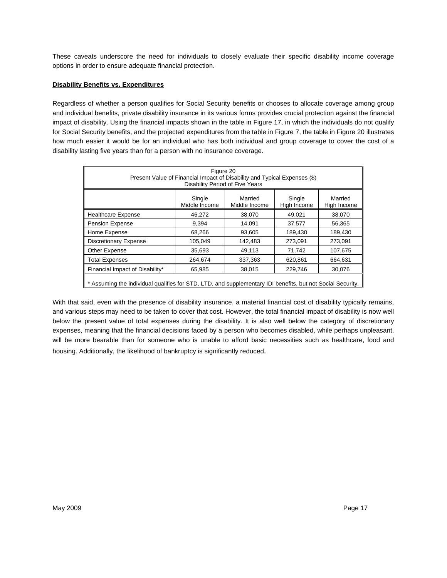These caveats underscore the need for individuals to closely evaluate their specific disability income coverage options in order to ensure adequate financial protection.

# **Disability Benefits vs. Expenditures**

Regardless of whether a person qualifies for Social Security benefits or chooses to allocate coverage among group and individual benefits, private disability insurance in its various forms provides crucial protection against the financial impact of disability. Using the financial impacts shown in the table in Figure 17, in which the individuals do not qualify for Social Security benefits, and the projected expenditures from the table in Figure 7, the table in Figure 20 illustrates how much easier it would be for an individual who has both individual and group coverage to cover the cost of a disability lasting five years than for a person with no insurance coverage.

| Figure 20<br>Present Value of Financial Impact of Disability and Typical Expenses (\$)<br>Disability Period of Five Years |                                                                                                        |         |         |         |  |  |  |  |
|---------------------------------------------------------------------------------------------------------------------------|--------------------------------------------------------------------------------------------------------|---------|---------|---------|--|--|--|--|
|                                                                                                                           | Married<br>Single<br>Single<br>Married<br>Middle Income<br>High Income<br>Middle Income<br>High Income |         |         |         |  |  |  |  |
| <b>Healthcare Expense</b>                                                                                                 | 46,272                                                                                                 | 38,070  | 49.021  | 38.070  |  |  |  |  |
| <b>Pension Expense</b>                                                                                                    | 9,394                                                                                                  | 14,091  | 37,577  | 56,365  |  |  |  |  |
| Home Expense                                                                                                              | 68,266                                                                                                 | 93,605  | 189,430 | 189,430 |  |  |  |  |
| <b>Discretionary Expense</b>                                                                                              | 105,049                                                                                                | 142,483 | 273,091 | 273,091 |  |  |  |  |
| Other Expense                                                                                                             | 35,693                                                                                                 | 49,113  | 71,742  | 107,675 |  |  |  |  |
| <b>Total Expenses</b>                                                                                                     | 264,674                                                                                                | 337,363 | 620,861 | 664,631 |  |  |  |  |
| Financial Impact of Disability*                                                                                           | 65,985                                                                                                 | 38,015  | 229,746 | 30,076  |  |  |  |  |
| * Assuming the individual qualifies for STD, LTD, and supplementary IDI benefits, but not Social Security.                |                                                                                                        |         |         |         |  |  |  |  |

With that said, even with the presence of disability insurance, a material financial cost of disability typically remains, and various steps may need to be taken to cover that cost. However, the total financial impact of disability is now well below the present value of total expenses during the disability. It is also well below the category of discretionary expenses, meaning that the financial decisions faced by a person who becomes disabled, while perhaps unpleasant, will be more bearable than for someone who is unable to afford basic necessities such as healthcare, food and housing. Additionally, the likelihood of bankruptcy is significantly reduced.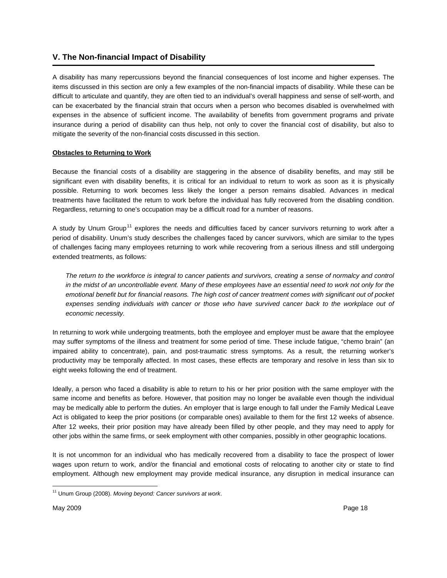# <span id="page-19-1"></span><span id="page-19-0"></span>**V. The Non-financial Impact of Disability**

A disability has many repercussions beyond the financial consequences of lost income and higher expenses. The items discussed in this section are only a few examples of the non-financial impacts of disability. While these can be difficult to articulate and quantify, they are often tied to an individual's overall happiness and sense of self-worth, and can be exacerbated by the financial strain that occurs when a person who becomes disabled is overwhelmed with expenses in the absence of sufficient income. The availability of benefits from government programs and private insurance during a period of disability can thus help, not only to cover the financial cost of disability, but also to mitigate the severity of the non-financial costs discussed in this section.

# **Obstacles to Returning to Work**

Because the financial costs of a disability are staggering in the absence of disability benefits, and may still be significant even with disability benefits, it is critical for an individual to return to work as soon as it is physically possible. Returning to work becomes less likely the longer a person remains disabled. Advances in medical treatments have facilitated the return to work before the individual has fully recovered from the disabling condition. Regardless, returning to one's occupation may be a difficult road for a number of reasons.

A study by Unum Group<sup>11</sup> explores the needs and difficulties faced by cancer survivors returning to work after a period of disability. Unum's study describes the challenges faced by cancer survivors, which are similar to the types of challenges facing many employees returning to work while recovering from a serious illness and still undergoing extended treatments, as follows:

*The return to the workforce is integral to cancer patients and survivors, creating a sense of normalcy and control*  in the midst of an uncontrollable event. Many of these employees have an essential need to work not only for the *emotional benefit but for financial reasons. The high cost of cancer treatment comes with significant out of pocket*  expenses sending individuals with cancer or those who have survived cancer back to the workplace out of *economic necessity.* 

In returning to work while undergoing treatments, both the employee and employer must be aware that the employee may suffer symptoms of the illness and treatment for some period of time. These include fatigue, "chemo brain" (an impaired ability to concentrate), pain, and post-traumatic stress symptoms. As a result, the returning worker's productivity may be temporally affected. In most cases, these effects are temporary and resolve in less than six to eight weeks following the end of treatment.

Ideally, a person who faced a disability is able to return to his or her prior position with the same employer with the same income and benefits as before. However, that position may no longer be available even though the individual may be medically able to perform the duties. An employer that is large enough to fall under the Family Medical Leave Act is obligated to keep the prior positions (or comparable ones) available to them for the first 12 weeks of absence. After 12 weeks, their prior position may have already been filled by other people, and they may need to apply for other jobs within the same firms, or seek employment with other companies, possibly in other geographic locations.

It is not uncommon for an individual who has medically recovered from a disability to face the prospect of lower wages upon return to work, and/or the financial and emotional costs of relocating to another city or state to find employment. Although new employment may provide medical insurance, any disruption in medical insurance can

<span id="page-19-2"></span> $\overline{a}$ 11 Unum Group (2008). *Moving beyond: Cancer survivors at work*.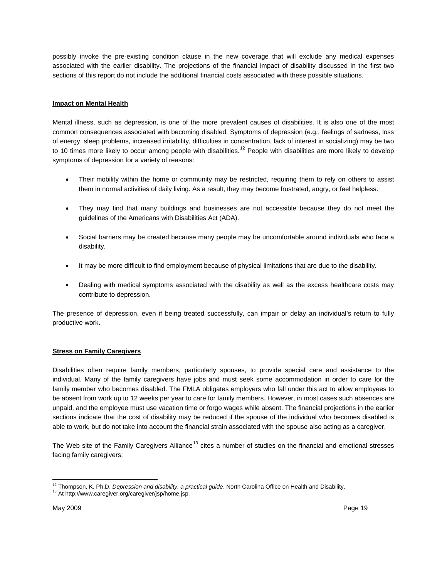possibly invoke the pre-existing condition clause in the new coverage that will exclude any medical expenses associated with the earlier disability. The projections of the financial impact of disability discussed in the first two sections of this report do not include the additional financial costs associated with these possible situations.

# **Impact on Mental Health**

Mental illness, such as depression, is one of the more prevalent causes of disabilities. It is also one of the most common consequences associated with becoming disabled. Symptoms of depression (e.g., feelings of sadness, loss of energy, sleep problems, increased irritability, difficulties in concentration, lack of interest in socializing) may be two to 10 times more likely to occur among people with disabilities.<sup>12</sup> People with disabilities are more likely to develop symptoms of depression for a variety of reasons:

- Their mobility within the home or community may be restricted, requiring them to rely on others to assist them in normal activities of daily living. As a result, they may become frustrated, angry, or feel helpless.
- They may find that many buildings and businesses are not accessible because they do not meet the guidelines of the Americans with Disabilities Act (ADA).
- Social barriers may be created because many people may be uncomfortable around individuals who face a disability.
- It may be more difficult to find employment because of physical limitations that are due to the disability.
- Dealing with medical symptoms associated with the disability as well as the excess healthcare costs may contribute to depression.

The presence of depression, even if being treated successfully, can impair or delay an individual's return to fully productive work.

#### **Stress on Family Caregivers**

Disabilities often require family members, particularly spouses, to provide special care and assistance to the individual. Many of the family caregivers have jobs and must seek some accommodation in order to care for the family member who becomes disabled. The FMLA obligates employers who fall under this act to allow employees to be absent from work up to 12 weeks per year to care for family members. However, in most cases such absences are unpaid, and the employee must use vacation time or forgo wages while absent. The financial projections in the earlier sections indicate that the cost of disability may be reduced if the spouse of the individual who becomes disabled is able to work, but do not take into account the financial strain associated with the spouse also acting as a caregiver.

The Web site of the Family Caregivers Alliance<sup>[13](#page-20-1)</sup> cites a number of studies on the financial and emotional stresses facing family caregivers:

 $\overline{a}$ <sup>12</sup> Thompson, K, Ph.D, *Depression and disability, a practical guide.* North Carolina Office on Health and Disability.<br><sup>13</sup> At http://www.caregiver.org/caregiver/jsp/home.jsp.

<span id="page-20-1"></span><span id="page-20-0"></span>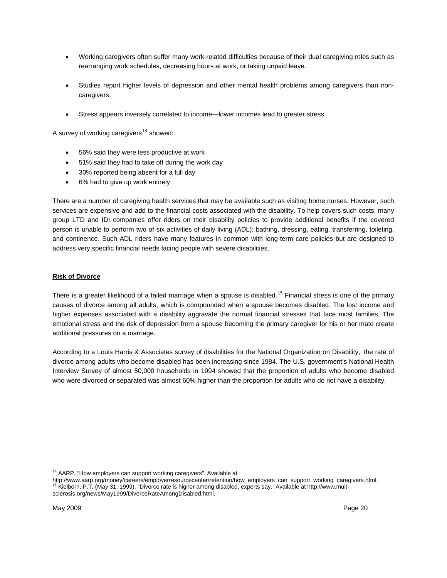- Working caregivers often suffer many work-related difficulties because of their dual caregiving roles such as rearranging work schedules, decreasing hours at work, or taking unpaid leave.
- Studies report higher levels of depression and other mental health problems among caregivers than noncaregivers.
- Stress appears inversely correlated to income—lower incomes lead to greater stress.

A survey of working caregivers<sup>14</sup> showed:

- 56% said they were less productive at work
- 51% said they had to take off during the work day
- 30% reported being absent for a full day
- 6% had to give up work entirely

There are a number of caregiving health services that may be available such as visiting home nurses. However, such services are expensive and add to the financial costs associated with the disability. To help covers such costs, many group LTD and IDI companies offer riders on their disability policies to provide additional benefits if the covered person is unable to perform two of six activities of daily living (ADL): bathing, dressing, eating, transferring, toileting, and continence. Such ADL riders have many features in common with long-term care policies but are designed to address very specific financial needs facing people with severe disabilities.

### **Risk of Divorce**

There is a greater likelihood of a failed marriage when a spouse is disabled.<sup>[15](#page-21-1)</sup> Financial stress is one of the primary causes of divorce among all adults, which is compounded when a spouse becomes disabled. The lost income and higher expenses associated with a disability aggravate the normal financial stresses that face most families. The emotional stress and the risk of depression from a spouse becoming the primary caregiver for his or her mate create additional pressures on a marriage.

According to a Louis Harris & Associates survey of disabilities for the National Organization on Disability, the rate of divorce among adults who become disabled has been increasing since 1984. The U.S. government's National Health Interview Survey of almost 50,000 households in 1994 showed that the proportion of adults who become disabled who were divorced or separated was almost 60% higher than the proportion for adults who do not have a disability.

 $\overline{a}$ 

<sup>&</sup>lt;sup>14</sup> AARP, "How employers can support working caregivers". Available at

<span id="page-21-1"></span><span id="page-21-0"></span>http://www.aarp.org/money/careers/employerresourcecenter/retention/how\_employers\_can\_support\_working\_caregivers.html.<br><sup>15</sup> Kielborn, P.T. (May 31, 1999). "Divorce rate is higher among disabled, experts say. Available at ht sclerosis.org/news/May1999/DivorceRateAmongDisabled.html.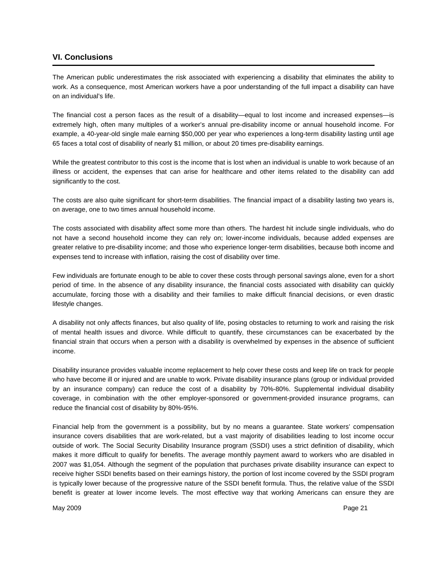# <span id="page-22-0"></span>**VI. Conclusions**

The American public underestimates the risk associated with experiencing a disability that eliminates the ability to work. As a consequence, most American workers have a poor understanding of the full impact a disability can have on an individual's life.

The financial cost a person faces as the result of a disability—equal to lost income and increased expenses—is extremely high, often many multiples of a worker's annual pre-disability income or annual household income. For example, a 40-year-old single male earning \$50,000 per year who experiences a long-term disability lasting until age 65 faces a total cost of disability of nearly \$1 million, or about 20 times pre-disability earnings.

While the greatest contributor to this cost is the income that is lost when an individual is unable to work because of an illness or accident, the expenses that can arise for healthcare and other items related to the disability can add significantly to the cost.

The costs are also quite significant for short-term disabilities. The financial impact of a disability lasting two years is, on average, one to two times annual household income.

The costs associated with disability affect some more than others. The hardest hit include single individuals, who do not have a second household income they can rely on; lower-income individuals, because added expenses are greater relative to pre-disability income; and those who experience longer-term disabilities, because both income and expenses tend to increase with inflation, raising the cost of disability over time.

Few individuals are fortunate enough to be able to cover these costs through personal savings alone, even for a short period of time. In the absence of any disability insurance, the financial costs associated with disability can quickly accumulate, forcing those with a disability and their families to make difficult financial decisions, or even drastic lifestyle changes.

A disability not only affects finances, but also quality of life, posing obstacles to returning to work and raising the risk of mental health issues and divorce. While difficult to quantify, these circumstances can be exacerbated by the financial strain that occurs when a person with a disability is overwhelmed by expenses in the absence of sufficient income.

Disability insurance provides valuable income replacement to help cover these costs and keep life on track for people who have become ill or injured and are unable to work. Private disability insurance plans (group or individual provided by an insurance company) can reduce the cost of a disability by 70%-80%. Supplemental individual disability coverage, in combination with the other employer-sponsored or government-provided insurance programs, can reduce the financial cost of disability by 80%-95%.

<span id="page-22-1"></span>Financial help from the government is a possibility, but by no means a guarantee. State workers' compensation insurance covers disabilities that are work-related, but a vast majority of disabilities leading to lost income occur outside of work. The Social Security Disability Insurance program (SSDI) uses a strict definition of disability, which makes it more difficult to qualify for benefits. The average monthly payment award to workers who are disabled in 2007 was \$1,054. Although the segment of the population that purchases private disability insurance can expect to receive higher SSDI benefits based on their earnings history, the portion of lost income covered by the SSDI program is typically lower because of the progressive nature of the SSDI benefit formula. Thus, the relative value of the SSDI benefit is greater at lower income levels. The most effective way that working Americans can ensure they are

May 2009 Page 21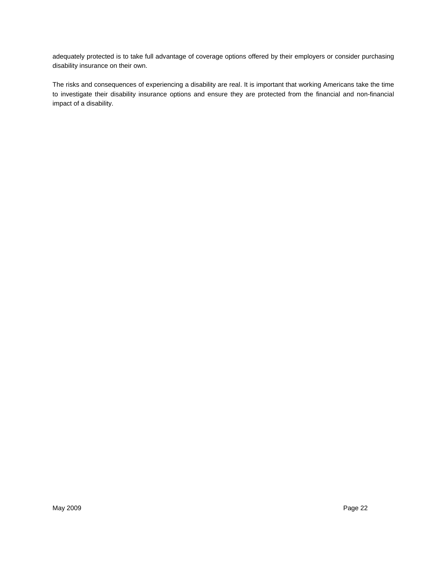adequately protected is to take full advantage of coverage options offered by their employers or consider purchasing disability insurance on their own.

The risks and consequences of experiencing a disability are real. It is important that working Americans take the time to investigate their disability insurance options and ensure they are protected from the financial and non-financial impact of a disability.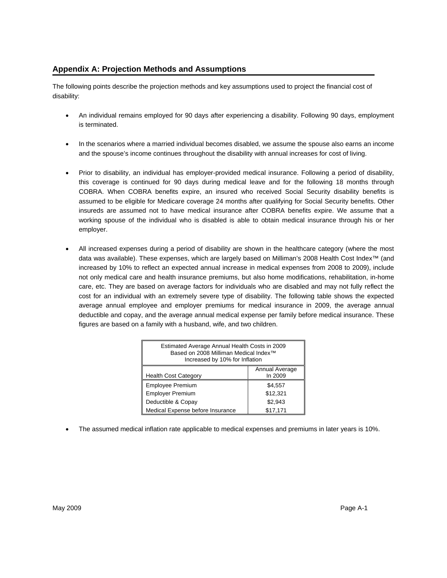# **Appendix A: Projection Methods and Assumptions**

The following points describe the projection methods and key assumptions used to project the financial cost of disability:

- An individual remains employed for 90 days after experiencing a disability. Following 90 days, employment is terminated.
- In the scenarios where a married individual becomes disabled, we assume the spouse also earns an income and the spouse's income continues throughout the disability with annual increases for cost of living.
- Prior to disability, an individual has employer-provided medical insurance. Following a period of disability, this coverage is continued for 90 days during medical leave and for the following 18 months through COBRA. When COBRA benefits expire, an insured who received Social Security disability benefits is assumed to be eligible for Medicare coverage 24 months after qualifying for Social Security benefits. Other insureds are assumed not to have medical insurance after COBRA benefits expire. We assume that a working spouse of the individual who is disabled is able to obtain medical insurance through his or her employer.
- All increased expenses during a period of disability are shown in the healthcare category (where the most data was available). These expenses, which are largely based on Milliman's 2008 Health Cost Index™ (and increased by 10% to reflect an expected annual increase in medical expenses from 2008 to 2009), include not only medical care and health insurance premiums, but also home modifications, rehabilitation, in-home care, etc. They are based on average factors for individuals who are disabled and may not fully reflect the cost for an individual with an extremely severe type of disability. The following table shows the expected average annual employee and employer premiums for medical insurance in 2009, the average annual deductible and copay, and the average annual medical expense per family before medical insurance. These figures are based on a family with a husband, wife, and two children.

| Estimated Average Annual Health Costs in 2009<br>Based on 2008 Milliman Medical Index™<br>Increased by 10% for Inflation |          |  |  |  |
|--------------------------------------------------------------------------------------------------------------------------|----------|--|--|--|
| Annual Average<br>In 2009<br><b>Health Cost Category</b>                                                                 |          |  |  |  |
| <b>Employee Premium</b>                                                                                                  | \$4,557  |  |  |  |
| <b>Employer Premium</b>                                                                                                  | \$12,321 |  |  |  |
| Deductible & Copay                                                                                                       | \$2,943  |  |  |  |
| Medical Expense before Insurance                                                                                         | \$17.171 |  |  |  |

• The assumed medical inflation rate applicable to medical expenses and premiums in later years is 10%.